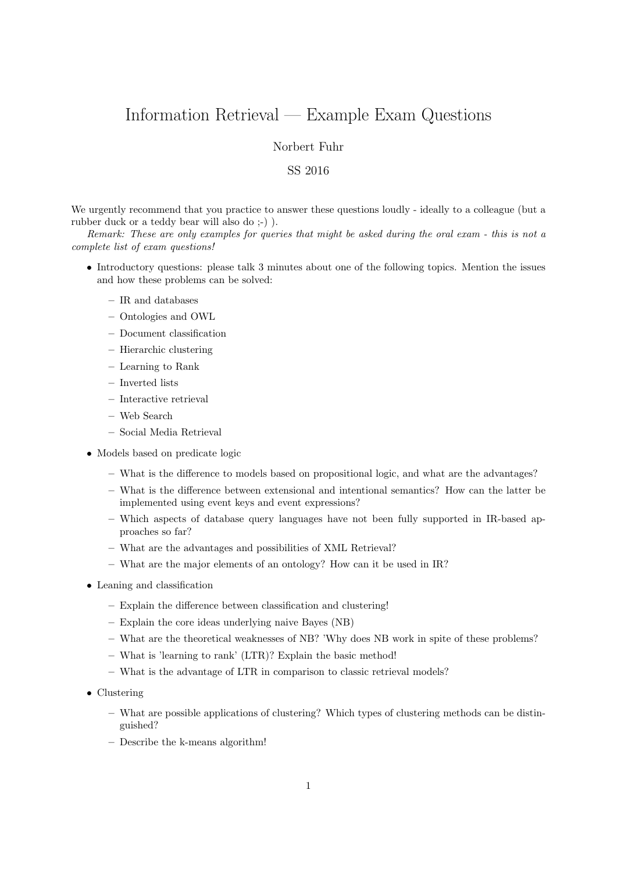## Information Retrieval — Example Exam Questions

Norbert Fuhr

## SS 2016

We urgently recommend that you practice to answer these questions loudly - ideally to a colleague (but a rubber duck or a teddy bear will also do ;-) ).

Remark: These are only examples for queries that might be asked during the oral exam - this is not a complete list of exam questions!

- Introductory questions: please talk 3 minutes about one of the following topics. Mention the issues and how these problems can be solved:
	- IR and databases
	- Ontologies and OWL
	- Document classification
	- Hierarchic clustering
	- Learning to Rank
	- Inverted lists
	- Interactive retrieval
	- Web Search
	- Social Media Retrieval
- Models based on predicate logic
	- What is the difference to models based on propositional logic, and what are the advantages?
	- What is the difference between extensional and intentional semantics? How can the latter be implemented using event keys and event expressions?
	- Which aspects of database query languages have not been fully supported in IR-based approaches so far?
	- What are the advantages and possibilities of XML Retrieval?
	- What are the major elements of an ontology? How can it be used in IR?
- Leaning and classification
	- Explain the difference between classification and clustering!
	- Explain the core ideas underlying naive Bayes (NB)
	- What are the theoretical weaknesses of NB? 'Why does NB work in spite of these problems?
	- What is 'learning to rank' (LTR)? Explain the basic method!
	- What is the advantage of LTR in comparison to classic retrieval models?
- Clustering
	- What are possible applications of clustering? Which types of clustering methods can be distinguished?
	- Describe the k-means algorithm!